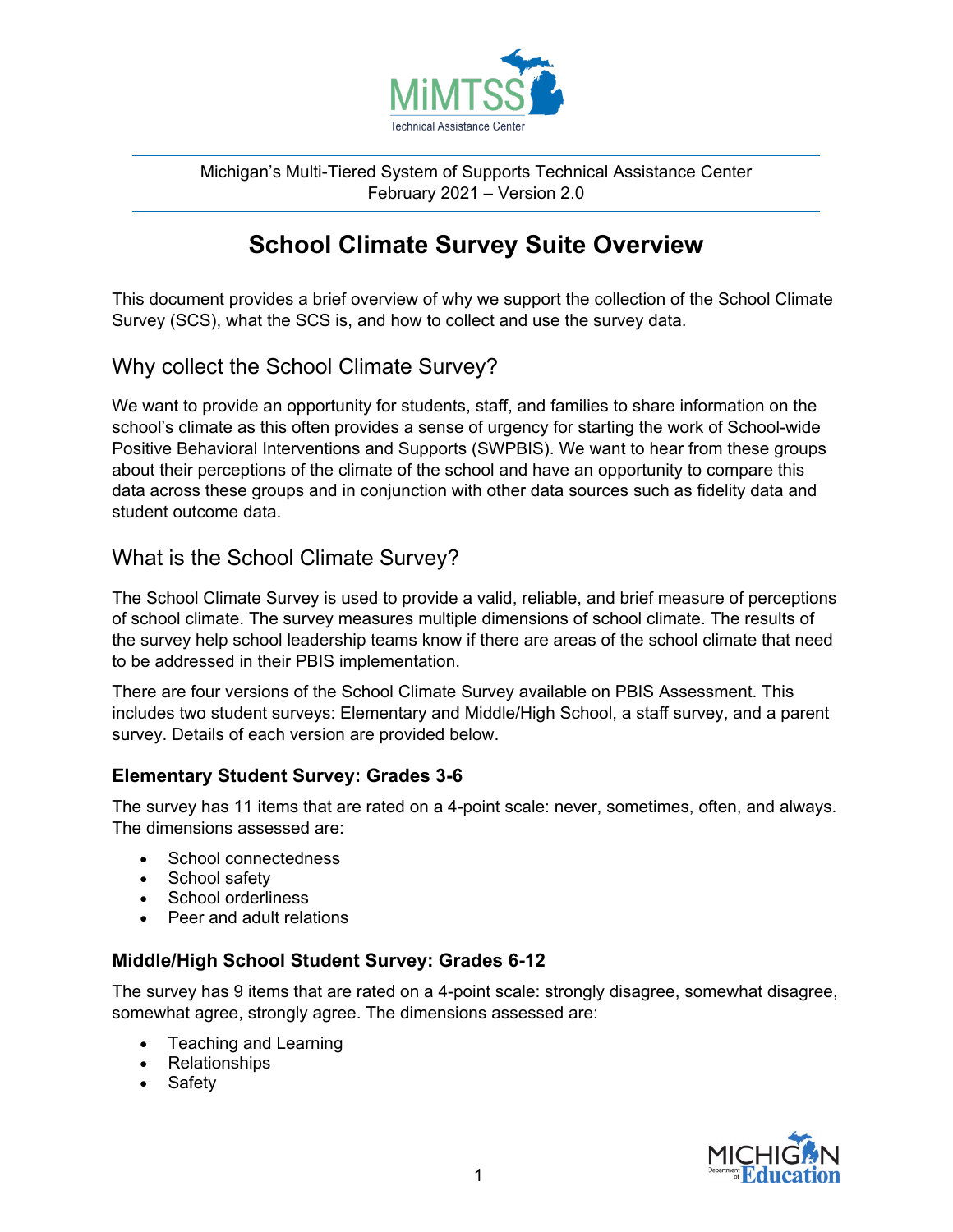

Michigan's Multi-Tiered System of Supports Technical Assistance Center February 2021 – Version 2.0

# **School Climate Survey Suite Overview**

This document provides a brief overview of why we support the collection of the School Climate Survey (SCS), what the SCS is, and how to collect and use the survey data.

## Why collect the School Climate Survey?

We want to provide an opportunity for students, staff, and families to share information on the school's climate as this often provides a sense of urgency for starting the work of School-wide Positive Behavioral Interventions and Supports (SWPBIS). We want to hear from these groups about their perceptions of the climate of the school and have an opportunity to compare this data across these groups and in conjunction with other data sources such as fidelity data and student outcome data.

## What is the School Climate Survey?

The School Climate Survey is used to provide a valid, reliable, and brief measure of perceptions of school climate. The survey measures multiple dimensions of school climate. The results of the survey help school leadership teams know if there are areas of the school climate that need to be addressed in their PBIS implementation.

There are four versions of the School Climate Survey available on PBIS Assessment. This includes two student surveys: Elementary and Middle/High School, a staff survey, and a parent survey. Details of each version are provided below.

### **Elementary Student Survey: Grades 3-6**

The survey has 11 items that are rated on a 4-point scale: never, sometimes, often, and always. The dimensions assessed are:

- School connectedness
- School safety
- School orderliness
- Peer and adult relations

### **Middle/High School Student Survey: Grades 6-12**

The survey has 9 items that are rated on a 4-point scale: strongly disagree, somewhat disagree, somewhat agree, strongly agree. The dimensions assessed are:

- Teaching and Learning
- Relationships
- Safety

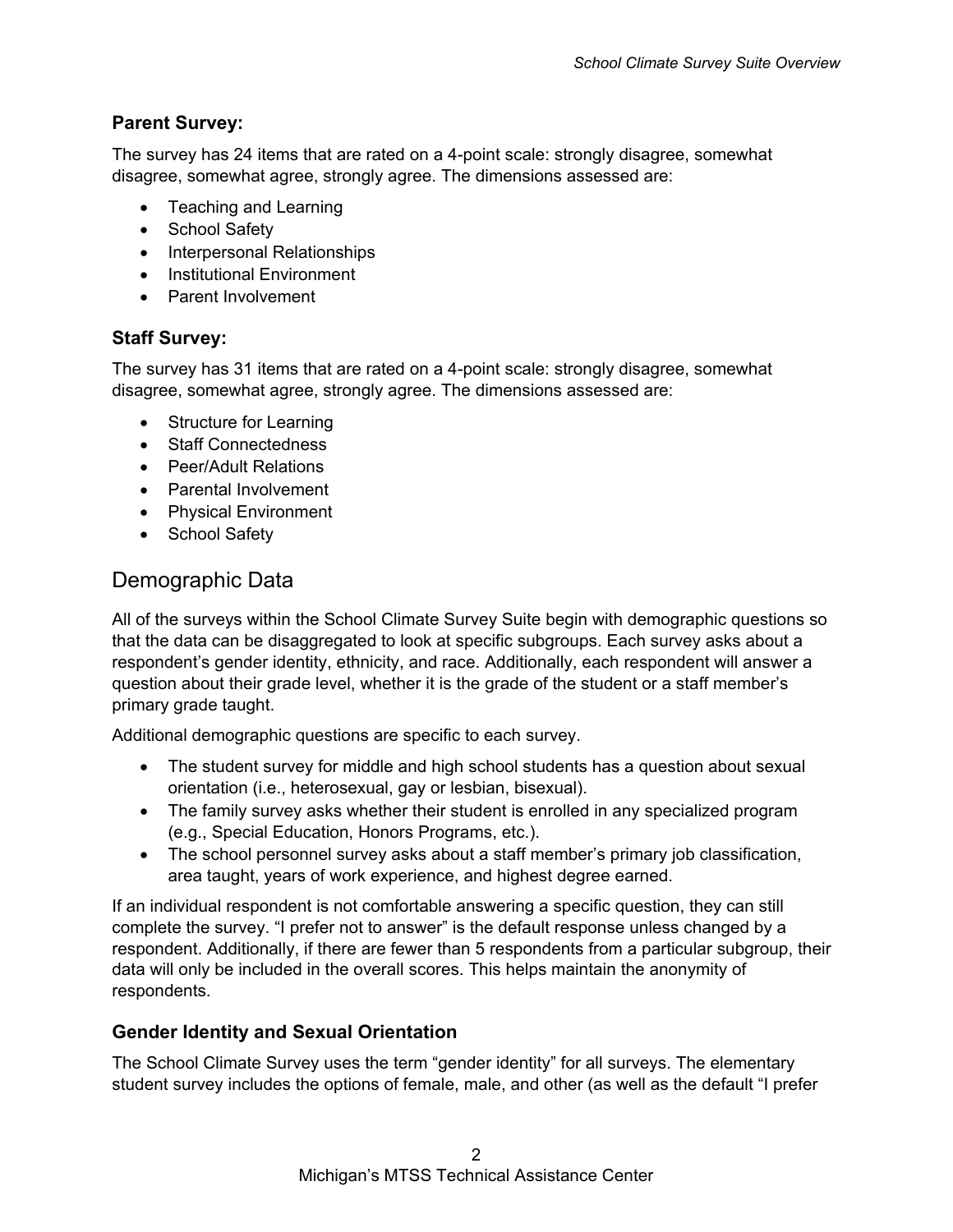#### **Parent Survey:**

The survey has 24 items that are rated on a 4-point scale: strongly disagree, somewhat disagree, somewhat agree, strongly agree. The dimensions assessed are:

- Teaching and Learning
- School Safety
- Interpersonal Relationships
- Institutional Environment
- Parent Involvement

### **Staff Survey:**

The survey has 31 items that are rated on a 4-point scale: strongly disagree, somewhat disagree, somewhat agree, strongly agree. The dimensions assessed are:

- Structure for Learning
- Staff Connectedness
- Peer/Adult Relations
- Parental Involvement
- Physical Environment
- School Safety

### Demographic Data

All of the surveys within the School Climate Survey Suite begin with demographic questions so that the data can be disaggregated to look at specific subgroups. Each survey asks about a respondent's gender identity, ethnicity, and race. Additionally, each respondent will answer a question about their grade level, whether it is the grade of the student or a staff member's primary grade taught.

Additional demographic questions are specific to each survey.

- The student survey for middle and high school students has a question about sexual orientation (i.e., heterosexual, gay or lesbian, bisexual).
- The family survey asks whether their student is enrolled in any specialized program (e.g., Special Education, Honors Programs, etc.).
- The school personnel survey asks about a staff member's primary job classification, area taught, years of work experience, and highest degree earned.

If an individual respondent is not comfortable answering a specific question, they can still complete the survey. "I prefer not to answer" is the default response unless changed by a respondent. Additionally, if there are fewer than 5 respondents from a particular subgroup, their data will only be included in the overall scores. This helps maintain the anonymity of respondents.

### **Gender Identity and Sexual Orientation**

The School Climate Survey uses the term "gender identity" for all surveys. The elementary student survey includes the options of female, male, and other (as well as the default "I prefer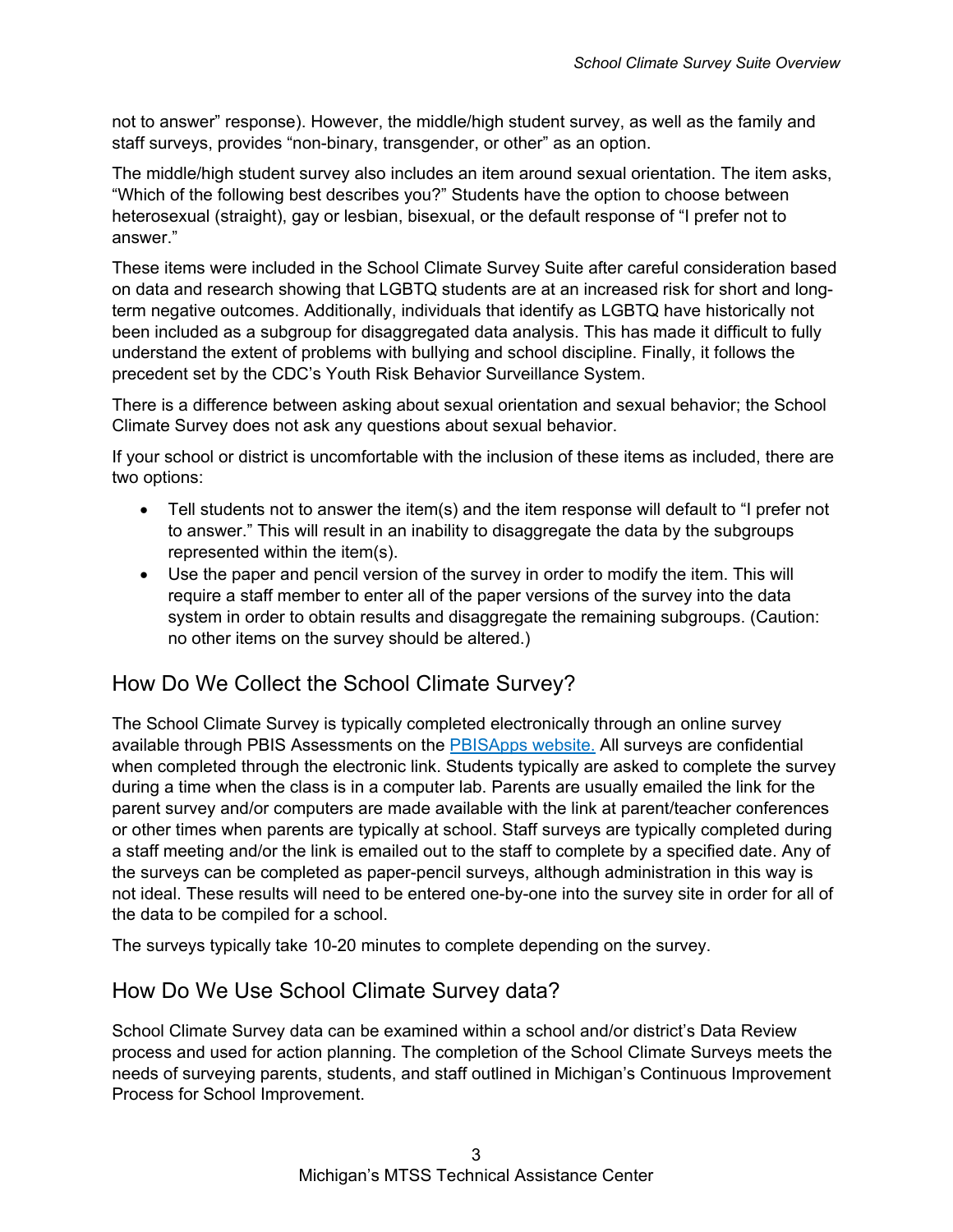not to answer" response). However, the middle/high student survey, as well as the family and staff surveys, provides "non-binary, transgender, or other" as an option.

The middle/high student survey also includes an item around sexual orientation. The item asks, "Which of the following best describes you?" Students have the option to choose between heterosexual (straight), gay or lesbian, bisexual, or the default response of "I prefer not to answer."

These items were included in the School Climate Survey Suite after careful consideration based on data and research showing that LGBTQ students are at an increased risk for short and longterm negative outcomes. Additionally, individuals that identify as LGBTQ have historically not been included as a subgroup for disaggregated data analysis. This has made it difficult to fully understand the extent of problems with bullying and school discipline. Finally, it follows the precedent set by the CDC's Youth Risk Behavior Surveillance System.

There is a difference between asking about sexual orientation and sexual behavior; the School Climate Survey does not ask any questions about sexual behavior.

If your school or district is uncomfortable with the inclusion of these items as included, there are two options:

- Tell students not to answer the item(s) and the item response will default to "I prefer not to answer." This will result in an inability to disaggregate the data by the subgroups represented within the item(s).
- Use the paper and pencil version of the survey in order to modify the item. This will require a staff member to enter all of the paper versions of the survey into the data system in order to obtain results and disaggregate the remaining subgroups. (Caution: no other items on the survey should be altered.)

### How Do We Collect the School Climate Survey?

The School Climate Survey is typically completed electronically through an online survey available through PBIS Assessments on the [PBISApps website.](http://pbisapps.org/) All surveys are confidential when completed through the electronic link. Students typically are asked to complete the survey during a time when the class is in a computer lab. Parents are usually emailed the link for the parent survey and/or computers are made available with the link at parent/teacher conferences or other times when parents are typically at school. Staff surveys are typically completed during a staff meeting and/or the link is emailed out to the staff to complete by a specified date. Any of the surveys can be completed as paper-pencil surveys, although administration in this way is not ideal. These results will need to be entered one-by-one into the survey site in order for all of the data to be compiled for a school.

The surveys typically take 10-20 minutes to complete depending on the survey.

### How Do We Use School Climate Survey data?

School Climate Survey data can be examined within a school and/or district's Data Review process and used for action planning. The completion of the School Climate Surveys meets the needs of surveying parents, students, and staff outlined in Michigan's Continuous Improvement Process for School Improvement.